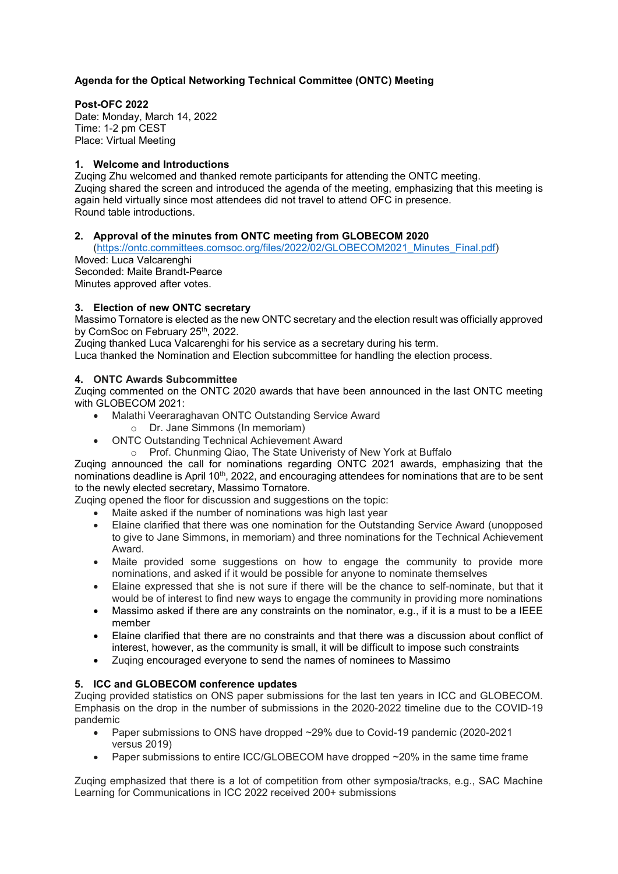# **Agenda for the Optical Networking Technical Committee (ONTC) Meeting**

#### **Post-OFC 2022**

Date: Monday, March 14, 2022 Time: 1-2 pm CEST Place: Virtual Meeting

# **1. Welcome and Introductions**

Zuqing Zhu welcomed and thanked remote participants for attending the ONTC meeting. Zuqing shared the screen and introduced the agenda of the meeting, emphasizing that this meeting is again held virtually since most attendees did not travel to attend OFC in presence. Round table introductions.

#### **2. Approval of the minutes from ONTC meeting from GLOBECOM 2020**

[\(https://ontc.committees.comsoc.org/files/2022/02/GLOBECOM2021\\_Minutes\\_Final.pdf\)](https://ontc.committees.comsoc.org/files/2022/02/GLOBECOM2021_Minutes_Final.pdf) Moved: Luca Valcarenghi

Seconded: Maite Brandt-Pearce Minutes approved after votes.

#### **3. Election of new ONTC secretary**

Massimo Tornatore is elected as the new ONTC secretary and the election result was officially approved by ComSoc on February 25<sup>th</sup>, 2022.

Zuqing thanked Luca Valcarenghi for his service as a secretary during his term.

Luca thanked the Nomination and Election subcommittee for handling the election process.

#### **4. ONTC Awards Subcommittee**

Zuqing commented on the ONTC 2020 awards that have been announced in the last ONTC meeting with GLOBECOM 2021:

- Malathi Veeraraghavan ONTC Outstanding Service Award
	- o Dr. Jane Simmons (In memoriam)
- ONTC Outstanding Technical Achievement Award
	- o Prof. Chunming Qiao, The State Univeristy of New York at Buffalo

Zuqing announced the call for nominations regarding ONTC 2021 awards, emphasizing that the nominations deadline is April 10<sup>th</sup>, 2022, and encouraging attendees for nominations that are to be sent to the newly elected secretary, Massimo Tornatore.

Zuqing opened the floor for discussion and suggestions on the topic:

- Maite asked if the number of nominations was high last year
- Elaine clarified that there was one nomination for the Outstanding Service Award (unopposed to give to Jane Simmons, in memoriam) and three nominations for the Technical Achievement Award.
- Maite provided some suggestions on how to engage the community to provide more nominations, and asked if it would be possible for anyone to nominate themselves
- Elaine expressed that she is not sure if there will be the chance to self-nominate, but that it would be of interest to find new ways to engage the community in providing more nominations
- Massimo asked if there are any constraints on the nominator, e.g., if it is a must to be a IEEE member
- Elaine clarified that there are no constraints and that there was a discussion about conflict of interest, however, as the community is small, it will be difficult to impose such constraints
- Zuqing encouraged everyone to send the names of nominees to Massimo

# **5. ICC and GLOBECOM conference updates**

Zuqing provided statistics on ONS paper submissions for the last ten years in ICC and GLOBECOM. Emphasis on the drop in the number of submissions in the 2020-2022 timeline due to the COVID-19 pandemic

- Paper submissions to ONS have dropped ~29% due to Covid-19 pandemic (2020-2021 versus 2019)
- Paper submissions to entire ICC/GLOBECOM have dropped  $\sim$ 20% in the same time frame

Zuqing emphasized that there is a lot of competition from other symposia/tracks, e.g., SAC Machine Learning for Communications in ICC 2022 received 200+ submissions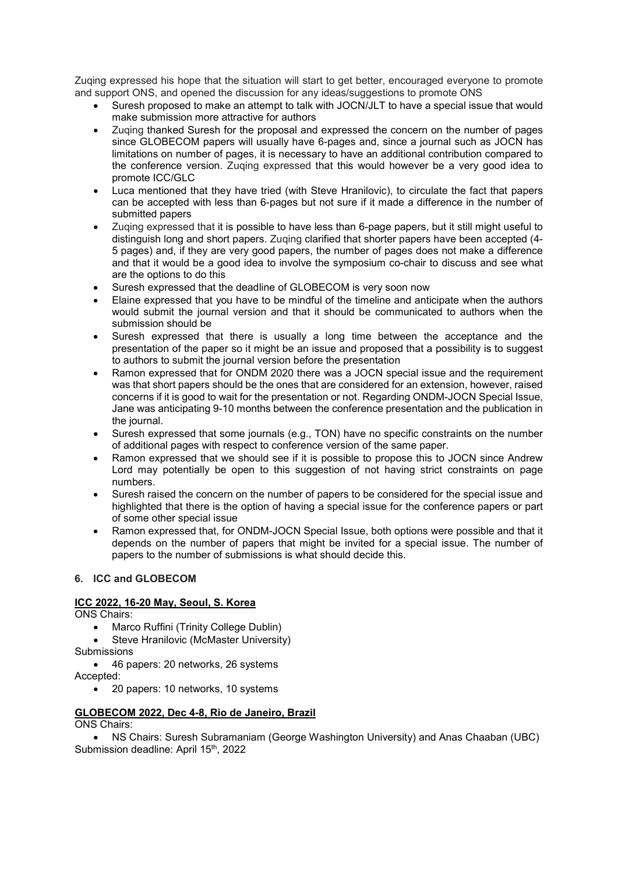Zuqing expressed his hope that the situation will start to get better, encouraged everyone to promote and support ONS, and opened the discussion for any ideas/suggestions to promote ONS

- Suresh proposed to make an attempt to talk with JOCN/JLT to have a special issue that would make submission more attractive for authors
- Zuqing thanked Suresh for the proposal and expressed the concern on the number of pages since GLOBECOM papers will usually have 6-pages and, since a journal such as JOCN has limitations on number of pages, it is necessary to have an additional contribution compared to the conference version. Zuqing expressed that this would however be a very good idea to promote ICC/GLC
- Luca mentioned that they have tried (with Steve Hranilovic), to circulate the fact that papers can be accepted with less than 6-pages but not sure if it made a difference in the number of submitted papers
- Zuqing expressed that it is possible to have less than 6-page papers, but it still might useful to distinguish long and short papers. Zuqing clarified that shorter papers have been accepted (4- 5 pages) and, if they are very good papers, the number of pages does not make a difference and that it would be a good idea to involve the symposium co-chair to discuss and see what are the options to do this
- Suresh expressed that the deadline of GLOBECOM is very soon now
- Elaine expressed that you have to be mindful of the timeline and anticipate when the authors would submit the journal version and that it should be communicated to authors when the submission should be
- Suresh expressed that there is usually a long time between the acceptance and the presentation of the paper so it might be an issue and proposed that a possibility is to suggest to authors to submit the journal version before the presentation
- Ramon expressed that for ONDM 2020 there was a JOCN special issue and the requirement was that short papers should be the ones that are considered for an extension, however, raised concerns if it is good to wait for the presentation or not. Regarding ONDM-JOCN Special Issue, Jane was anticipating 9-10 months between the conference presentation and the publication in the journal.
- Suresh expressed that some journals (e.g., TON) have no specific constraints on the number of additional pages with respect to conference version of the same paper.
- Ramon expressed that we should see if it is possible to propose this to JOCN since Andrew Lord may potentially be open to this suggestion of not having strict constraints on page numbers.
- Suresh raised the concern on the number of papers to be considered for the special issue and highlighted that there is the option of having a special issue for the conference papers or part of some other special issue
- Ramon expressed that, for ONDM-JOCN Special Issue, both options were possible and that it depends on the number of papers that might be invited for a special issue. The number of papers to the number of submissions is what should decide this.

# **6. ICC and GLOBECOM**

# **ICC 2022, 16-20 May, Seoul, S. Korea**

ONS Chairs:

- Marco Ruffini (Trinity College Dublin)
- Steve Hranilovic (McMaster University)
- **Submissions** • 46 papers: 20 networks, 26 systems
- Accepted:
	- 20 papers: 10 networks, 10 systems

# **GLOBECOM 2022, Dec 4-8, Rio de Janeiro, Brazil**

ONS Chairs:

• NS Chairs: Suresh Subramaniam (George Washington University) and Anas Chaaban (UBC) Submission deadline: April 15<sup>th</sup>, 2022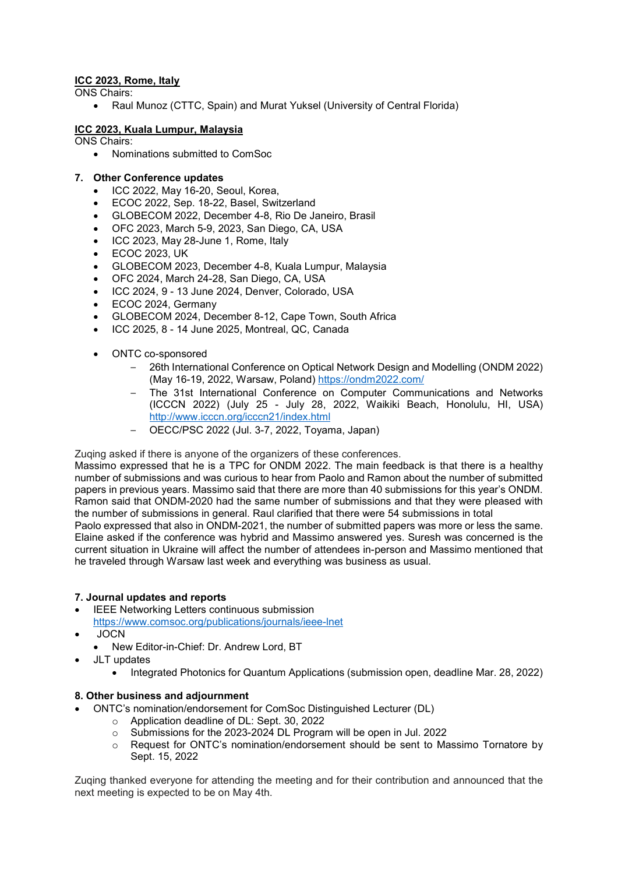# **ICC 2023, Rome, Italy**

ONS Chairs:

• Raul Munoz (CTTC, Spain) and Murat Yuksel (University of Central Florida)

# **ICC 2023, Kuala Lumpur, Malaysia**

- ONS Chairs:
	- Nominations submitted to ComSoc

#### **7. Other Conference updates**

- ICC 2022, May 16-20, Seoul, Korea,
- ECOC 2022, Sep. 18-22, Basel, Switzerland
- GLOBECOM 2022, December 4-8, Rio De Janeiro, Brasil
- OFC 2023, March 5-9, 2023, San Diego, CA, USA
- ICC 2023, May 28-June 1, Rome, Italy
- ECOC 2023, UK
- GLOBECOM 2023, December 4-8, Kuala Lumpur, Malaysia
- OFC 2024, March 24-28, San Diego, CA, USA
- ICC 2024, 9 13 June 2024, Denver, Colorado, USA
- ECOC 2024, Germany
- GLOBECOM 2024, December 8-12, Cape Town, South Africa
- ICC 2025, 8 14 June 2025, Montreal, QC, Canada
- ONTC co-sponsored
	- 26th International Conference on Optical Network Design and Modelling (ONDM 2022) (May 16-19, 2022, Warsaw, Poland) <https://ondm2022.com/>
	- The 31st International Conference on Computer Communications and Networks (ICCCN 2022) (July 25 - July 28, 2022, Waikiki Beach, Honolulu, HI, USA) <http://www.icccn.org/icccn21/index.html>
	- OECC/PSC 2022 (Jul. 3-7, 2022, Toyama, Japan)

Zuqing asked if there is anyone of the organizers of these conferences.

Massimo expressed that he is a TPC for ONDM 2022. The main feedback is that there is a healthy number of submissions and was curious to hear from Paolo and Ramon about the number of submitted papers in previous years. Massimo said that there are more than 40 submissions for this year's ONDM. Ramon said that ONDM-2020 had the same number of submissions and that they were pleased with the number of submissions in general. Raul clarified that there were 54 submissions in total Paolo expressed that also in ONDM-2021, the number of submitted papers was more or less the same. Elaine asked if the conference was hybrid and Massimo answered yes. Suresh was concerned is the current situation in Ukraine will affect the number of attendees in-person and Massimo mentioned that he traveled through Warsaw last week and everything was business as usual.

# **7. Journal updates and reports**

- IEEE Networking Letters continuous submission <https://www.comsoc.org/publications/journals/ieee-lnet>
- JOCN
	- New Editor-in-Chief: Dr. Andrew Lord, BT
- JLT updates
	- Integrated Photonics for Quantum Applications (submission open, deadline Mar. 28, 2022)

#### **8. Other business and adjournment**

- ONTC's nomination/endorsement for ComSoc Distinguished Lecturer (DL)
	- o Application deadline of DL: Sept. 30, 2022
	- o Submissions for the 2023-2024 DL Program will be open in Jul. 2022<br> **O** Request for ONTC's nomination/endorsement should be sent to Ma
	- Request for ONTC's nomination/endorsement should be sent to Massimo Tornatore by Sept. 15, 2022

Zuqing thanked everyone for attending the meeting and for their contribution and announced that the next meeting is expected to be on May 4th.